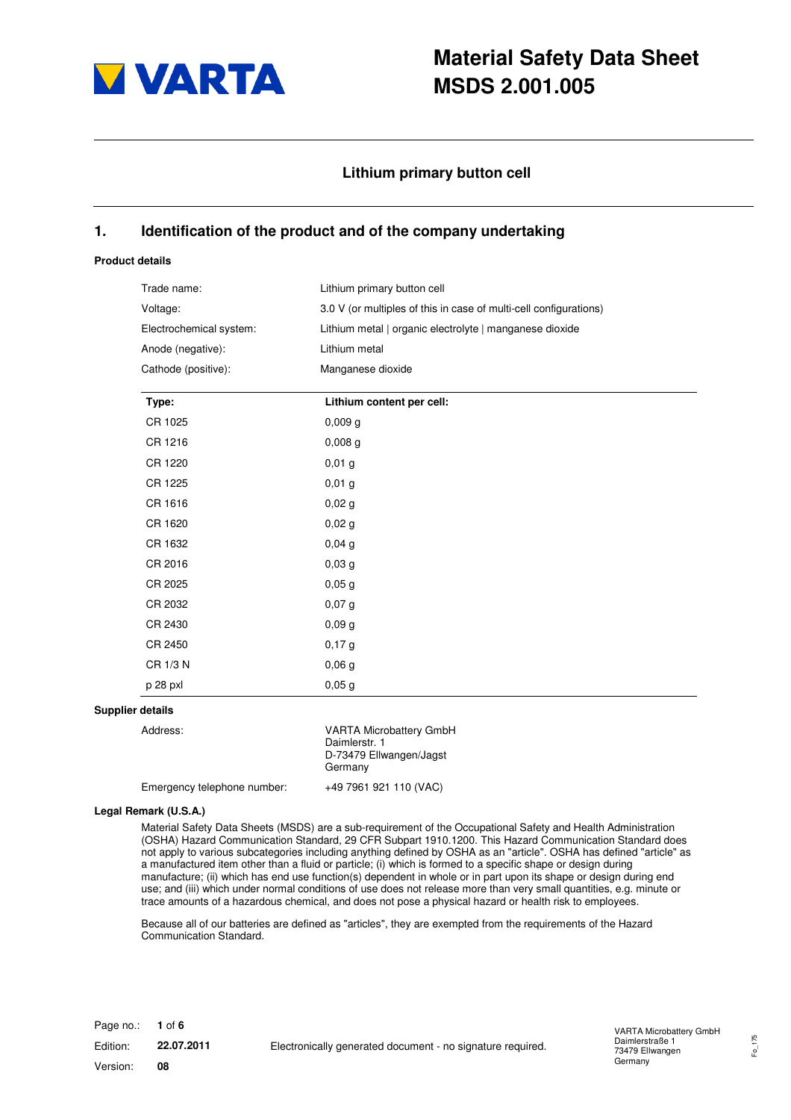

# **Material Safety Data Sheet MSDS 2.001.005**

# **Lithium primary button cell**

# **1. Identification of the product and of the company undertaking**

### **Product details**

| Trade name:             | Lithium primary button cell                                       |
|-------------------------|-------------------------------------------------------------------|
| Voltage:                | 3.0 V (or multiples of this in case of multi-cell configurations) |
| Electrochemical system: | Lithium metal   organic electrolyte   manganese dioxide           |
| Anode (negative):       | Lithium metal                                                     |
| Cathode (positive):     | Manganese dioxide                                                 |
| Type:                   | Lithium content per cell:                                         |
| CR 1025                 | 0,009g                                                            |
| CR 1216                 | $0,008$ g                                                         |
| CR 1220                 | $0,01$ g                                                          |
| CR 1225                 | 0,01,9                                                            |
| CR 1616                 | 0,02g                                                             |
| CR 1620                 | 0,02g                                                             |
| CR 1632                 | 0,04g                                                             |
| CR 2016                 | 0,03,9                                                            |
| CR 2025                 | 0,05g                                                             |
| CR 2032                 | $0,07$ g                                                          |
| CR 2430                 | 0,09g                                                             |
| CR 2450                 | 0,17g                                                             |
| CR 1/3 N                | 0,06g                                                             |
| p 28 pxl                | 0,05g                                                             |
| details                 |                                                                   |

### **Supplier**

| Address:                    | <b>VARTA Microbattery GmbH</b>     |
|-----------------------------|------------------------------------|
|                             | Daimlerstr. 1                      |
|                             | D-73479 Ellwangen/Jagst<br>Germany |
| Emergency telephone number: | +49 7961 921 110 (VAC)             |

#### **Legal Remark (U.S.A.)**

Material Safety Data Sheets (MSDS) are a sub-requirement of the Occupational Safety and Health Administration (OSHA) Hazard Communication Standard, 29 CFR Subpart 1910.1200. This Hazard Communication Standard does not apply to various subcategories including anything defined by OSHA as an "article". OSHA has defined "article" as a manufactured item other than a fluid or particle; (i) which is formed to a specific shape or design during manufacture; (ii) which has end use function(s) dependent in whole or in part upon its shape or design during end use; and (iii) which under normal conditions of use does not release more than very small quantities, e.g. minute or trace amounts of a hazardous chemical, and does not pose a physical hazard or health risk to employees.

Because all of our batteries are defined as "articles", they are exempted from the requirements of the Hazard Communication Standard.

Page no.: **1** of **6** Edition: **22.07.2011**  Version: **08**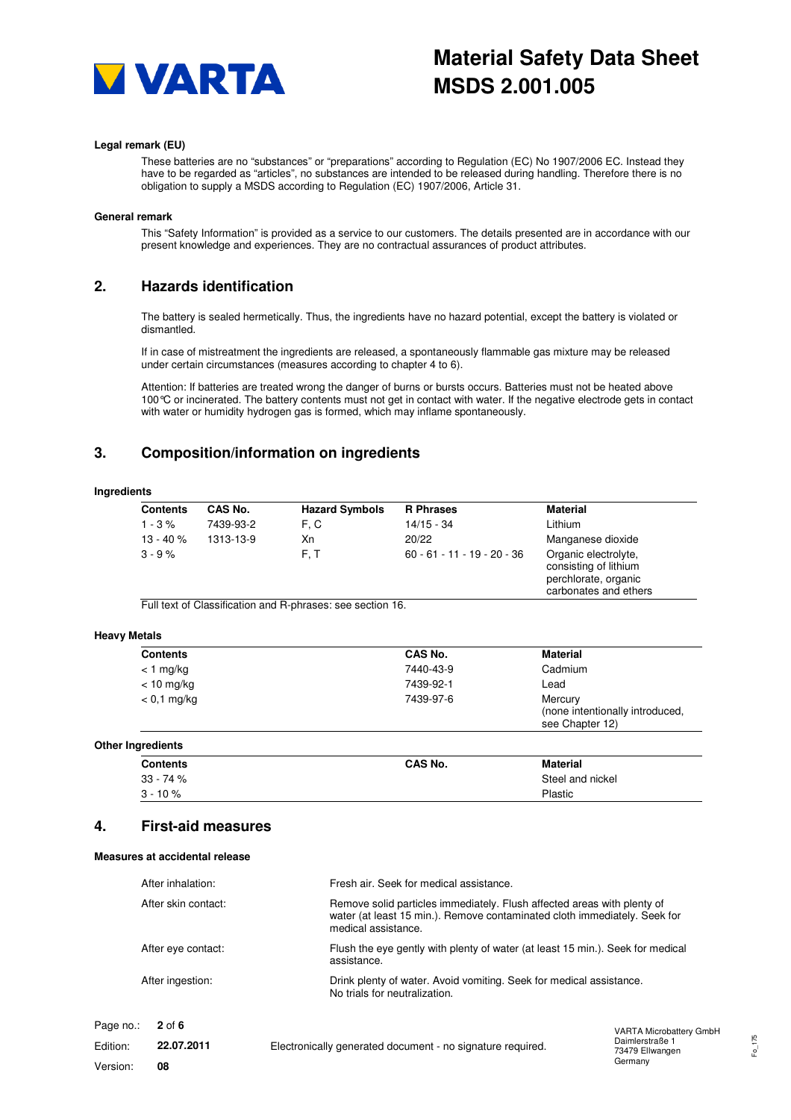

# **Material Safety Data Sheet MSDS 2.001.005**

### **Legal remark (EU)**

These batteries are no "substances" or "preparations" according to Regulation (EC) No 1907/2006 EC. Instead they have to be regarded as "articles", no substances are intended to be released during handling. Therefore there is no obligation to supply a MSDS according to Regulation (EC) 1907/2006, Article 31.

#### **General remark**

This "Safety Information" is provided as a service to our customers. The details presented are in accordance with our present knowledge and experiences. They are no contractual assurances of product attributes.

# **2. Hazards identification**

The battery is sealed hermetically. Thus, the ingredients have no hazard potential, except the battery is violated or dismantled.

If in case of mistreatment the ingredients are released, a spontaneously flammable gas mixture may be released under certain circumstances (measures according to chapter 4 to 6).

Attention: If batteries are treated wrong the danger of burns or bursts occurs. Batteries must not be heated above 100°C or incinerated. The battery contents must not get in contact with water. If the negative electrode gets in contact with water or humidity hydrogen gas is formed, which may inflame spontaneously.

# **3. Composition/information on ingredients**

#### **Ingredients**

| <b>Contents</b> | CAS No.   | <b>Hazard Symbols</b> | <b>R</b> Phrases              | <b>Material</b>                                                                                |
|-----------------|-----------|-----------------------|-------------------------------|------------------------------------------------------------------------------------------------|
| $1 - 3\%$       | 7439-93-2 | F.C                   | 14/15 - 34                    | Lithium                                                                                        |
| $13 - 40 \%$    | 1313-13-9 | Хn                    | 20/22                         | Manganese dioxide                                                                              |
| $3 - 9%$        |           | F.T                   | $60 - 61 - 11 - 19 - 20 - 36$ | Organic electrolyte,<br>consisting of lithium<br>perchlorate, organic<br>carbonates and ethers |

Full text of Classification and R-phrases: see section 16.

### **Heavy Metals**

| <b>Contents</b> | CAS No.   | Material                                                      |
|-----------------|-----------|---------------------------------------------------------------|
| $<$ 1 mg/kg     | 7440-43-9 | Cadmium                                                       |
| $< 10$ mg/kg    | 7439-92-1 | Lead                                                          |
| $< 0.1$ mg/kg   | 7439-97-6 | Mercury<br>(none intentionally introduced,<br>see Chapter 12) |

#### **Other Ingredients**

| <b>Contents</b> | CAS No. | <b>Material</b>  |  |
|-----------------|---------|------------------|--|
| 33 - 74 %       |         | Steel and nickel |  |
| $3 - 10 \%$     |         | Plastic          |  |

### **4. First-aid measures**

#### **Measures at accidental release**

| After inhalation:     | Fresh air. Seek for medical assistance.                                                                                                                                     |
|-----------------------|-----------------------------------------------------------------------------------------------------------------------------------------------------------------------------|
| After skin contact:   | Remove solid particles immediately. Flush affected areas with plenty of<br>water (at least 15 min.). Remove contaminated cloth immediately. Seek for<br>medical assistance. |
| After eye contact:    | Flush the eye gently with plenty of water (at least 15 min.). Seek for medical<br>assistance.                                                                               |
| After ingestion:      | Drink plenty of water. Avoid vomiting. Seek for medical assistance.<br>No trials for neutralization.                                                                        |
| $2$ of 6<br>Page no.: | <b>VARTA Microbattery Gmb</b>                                                                                                                                               |

Electronically generated document - no signature required. Edition: **22.07.2011**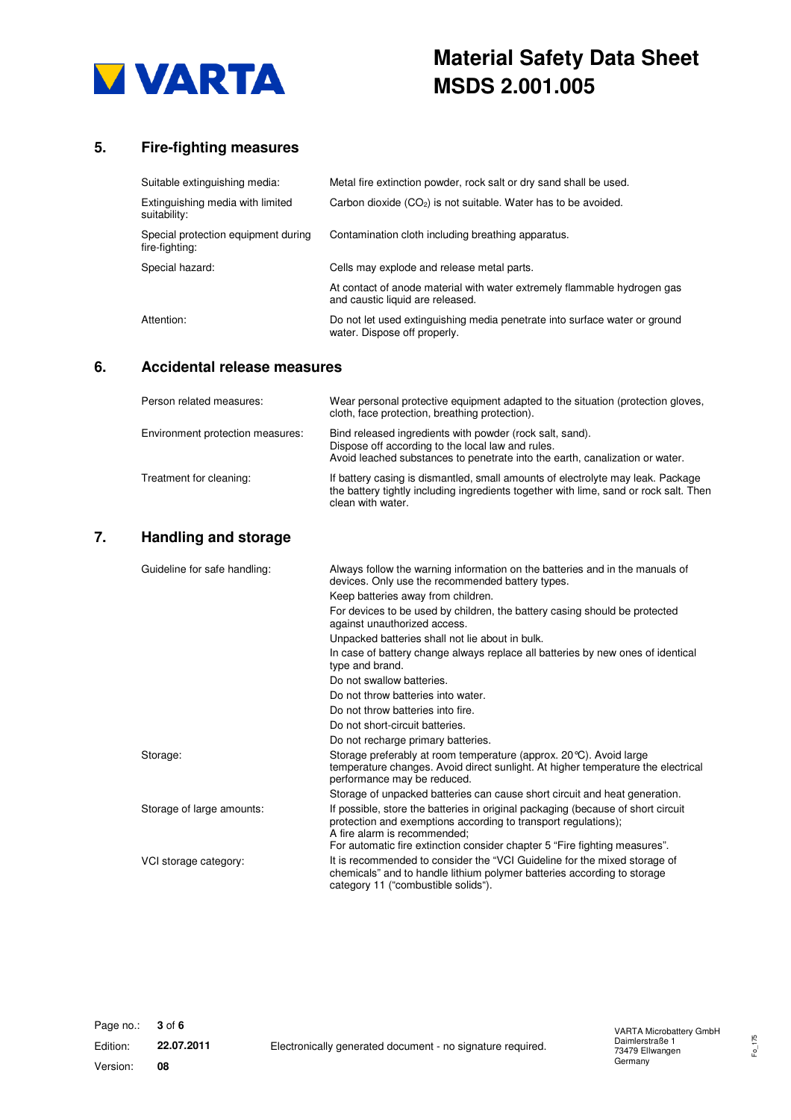

# **5. Fire-fighting measures**

| Suitable extinguishing media:                         | Metal fire extinction powder, rock salt or dry sand shall be used.                                           |
|-------------------------------------------------------|--------------------------------------------------------------------------------------------------------------|
| Extinguishing media with limited<br>suitability:      | Carbon dioxide $(CO2)$ is not suitable. Water has to be avoided.                                             |
| Special protection equipment during<br>fire-fighting: | Contamination cloth including breathing apparatus.                                                           |
| Special hazard:                                       | Cells may explode and release metal parts.                                                                   |
|                                                       | At contact of anode material with water extremely flammable hydrogen gas<br>and caustic liquid are released. |
| Attention:                                            | Do not let used extinguishing media penetrate into surface water or ground<br>water. Dispose off properly.   |

# **6. Accidental release measures**

| Person related measures:         | Wear personal protective equipment adapted to the situation (protection gloves,<br>cloth, face protection, breathing protection).                                                             |
|----------------------------------|-----------------------------------------------------------------------------------------------------------------------------------------------------------------------------------------------|
| Environment protection measures: | Bind released ingredients with powder (rock salt, sand).<br>Dispose off according to the local law and rules.<br>Avoid leached substances to penetrate into the earth, canalization or water. |
| Treatment for cleaning:          | If battery casing is dismantled, small amounts of electrolyte may leak. Package<br>the battery tightly including ingredients together with lime, sand or rock salt. Then<br>clean with water. |

# **7. Handling and storage**

| Guideline for safe handling: | Always follow the warning information on the batteries and in the manuals of<br>devices. Only use the recommended battery types.                                                            |
|------------------------------|---------------------------------------------------------------------------------------------------------------------------------------------------------------------------------------------|
|                              | Keep batteries away from children.                                                                                                                                                          |
|                              | For devices to be used by children, the battery casing should be protected<br>against unauthorized access.                                                                                  |
|                              | Unpacked batteries shall not lie about in bulk.                                                                                                                                             |
|                              | In case of battery change always replace all batteries by new ones of identical<br>type and brand.                                                                                          |
|                              | Do not swallow batteries.                                                                                                                                                                   |
|                              | Do not throw batteries into water.                                                                                                                                                          |
|                              | Do not throw batteries into fire.                                                                                                                                                           |
|                              | Do not short-circuit batteries.                                                                                                                                                             |
|                              | Do not recharge primary batteries.                                                                                                                                                          |
| Storage:                     | Storage preferably at room temperature (approx. 20 °C). Avoid large<br>temperature changes. Avoid direct sunlight. At higher temperature the electrical<br>performance may be reduced.      |
|                              | Storage of unpacked batteries can cause short circuit and heat generation.                                                                                                                  |
| Storage of large amounts:    | If possible, store the batteries in original packaging (because of short circuit<br>protection and exemptions according to transport regulations);<br>A fire alarm is recommended;          |
|                              | For automatic fire extinction consider chapter 5 "Fire fighting measures".                                                                                                                  |
| VCI storage category:        | It is recommended to consider the "VCI Guideline for the mixed storage of<br>chemicals" and to handle lithium polymer batteries according to storage<br>category 11 ("combustible solids"). |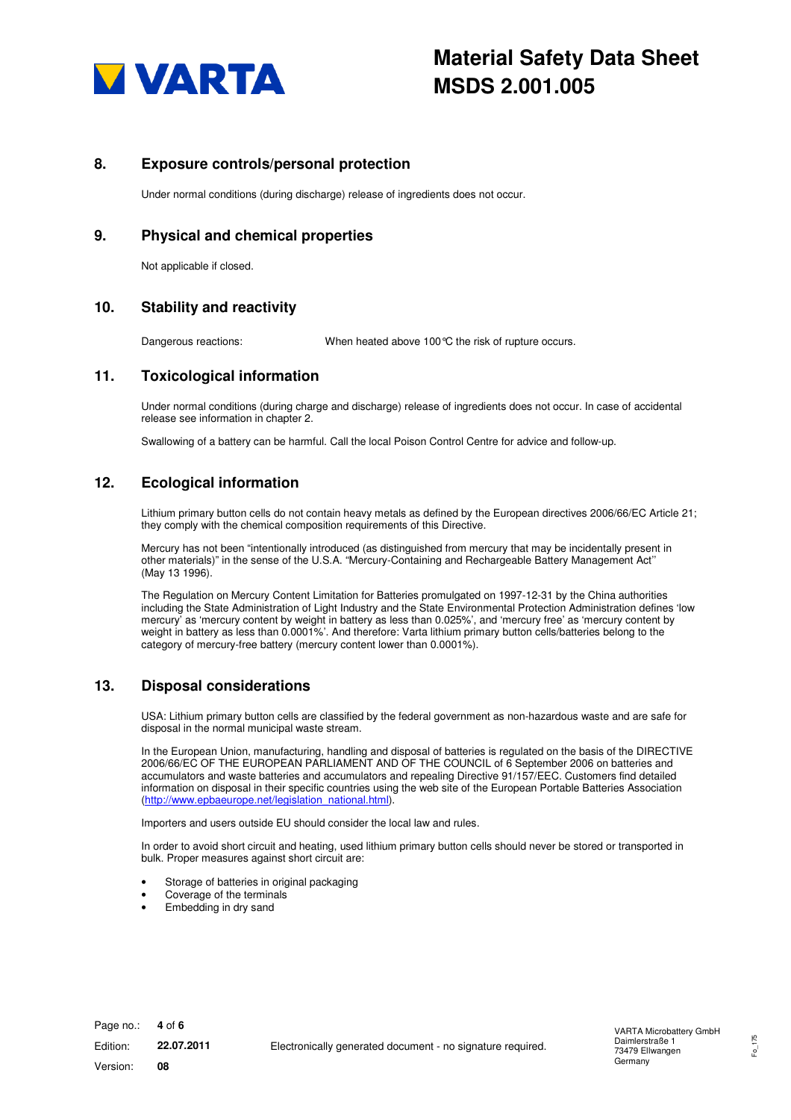

### **8. Exposure controls/personal protection**

Under normal conditions (during discharge) release of ingredients does not occur.

### **9. Physical and chemical properties**

Not applicable if closed.

# **10. Stability and reactivity**

Dangerous reactions: When heated above 100°C the risk of rupture occurs.

### **11. Toxicological information**

Under normal conditions (during charge and discharge) release of ingredients does not occur. In case of accidental release see information in chapter 2.

Swallowing of a battery can be harmful. Call the local Poison Control Centre for advice and follow-up.

### **12. Ecological information**

Lithium primary button cells do not contain heavy metals as defined by the European directives 2006/66/EC Article 21; they comply with the chemical composition requirements of this Directive.

Mercury has not been "intentionally introduced (as distinguished from mercury that may be incidentally present in other materials)" in the sense of the U.S.A. "Mercury-Containing and Rechargeable Battery Management Act'' (May 13 1996).

The Regulation on Mercury Content Limitation for Batteries promulgated on 1997-12-31 by the China authorities including the State Administration of Light Industry and the State Environmental Protection Administration defines 'low mercury' as 'mercury content by weight in battery as less than 0.025%', and 'mercury free' as 'mercury content by weight in battery as less than 0.0001%'. And therefore: Varta lithium primary button cells/batteries belong to the category of mercury-free battery (mercury content lower than 0.0001%).

# **13. Disposal considerations**

USA: Lithium primary button cells are classified by the federal government as non-hazardous waste and are safe for disposal in the normal municipal waste stream.

In the European Union, manufacturing, handling and disposal of batteries is regulated on the basis of the DIRECTIVE 2006/66/EC OF THE EUROPEAN PARLIAMENT AND OF THE COUNCIL of 6 September 2006 on batteries and accumulators and waste batteries and accumulators and repealing Directive 91/157/EEC. Customers find detailed information on disposal in their specific countries using the web site of the European Portable Batteries Association (http://www.epbaeurope.net/legislation\_national.html).

Importers and users outside EU should consider the local law and rules.

In order to avoid short circuit and heating, used lithium primary button cells should never be stored or transported in bulk. Proper measures against short circuit are:

- Storage of batteries in original packaging
- Coverage of the terminals
- Embedding in dry sand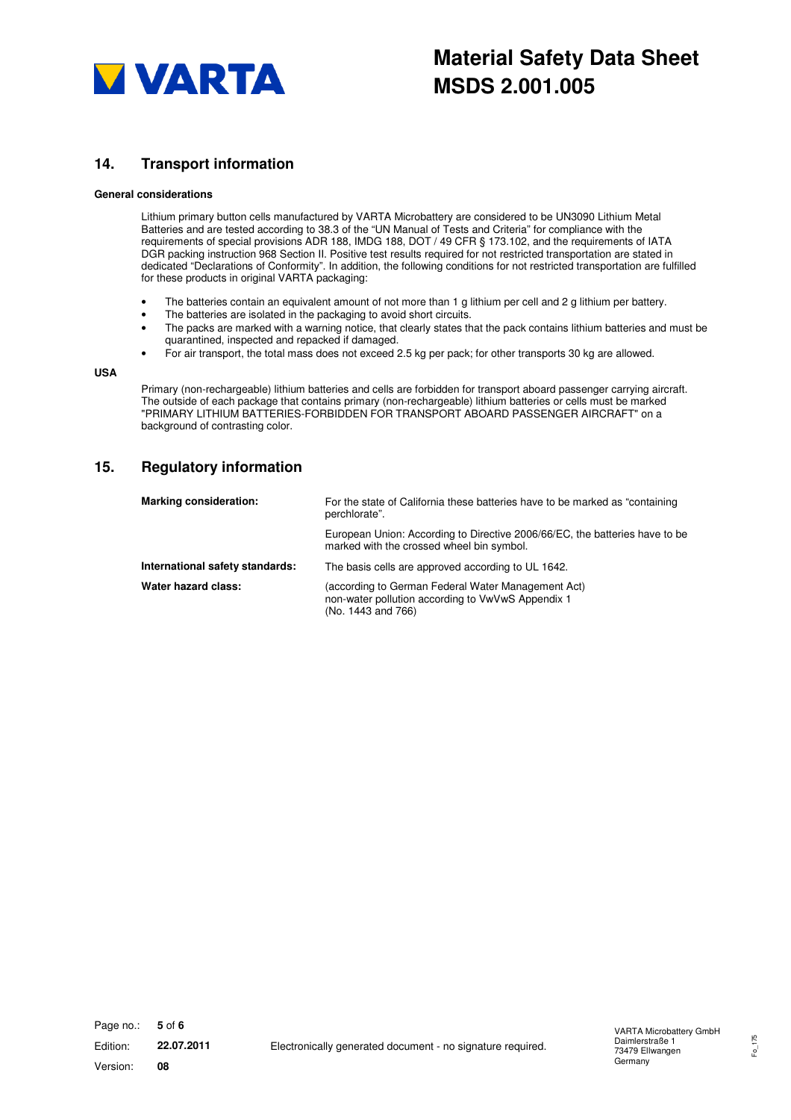

# **14. Transport information**

### **General considerations**

Lithium primary button cells manufactured by VARTA Microbattery are considered to be UN3090 Lithium Metal Batteries and are tested according to 38.3 of the "UN Manual of Tests and Criteria" for compliance with the requirements of special provisions ADR 188, IMDG 188, DOT / 49 CFR § 173.102, and the requirements of IATA DGR packing instruction 968 Section II. Positive test results required for not restricted transportation are stated in dedicated "Declarations of Conformity". In addition, the following conditions for not restricted transportation are fulfilled for these products in original VARTA packaging:

- The batteries contain an equivalent amount of not more than 1 g lithium per cell and 2 g lithium per battery.
- The batteries are isolated in the packaging to avoid short circuits.
- The packs are marked with a warning notice, that clearly states that the pack contains lithium batteries and must be quarantined, inspected and repacked if damaged.
- For air transport, the total mass does not exceed 2.5 kg per pack; for other transports 30 kg are allowed.

#### **USA**

Primary (non-rechargeable) lithium batteries and cells are forbidden for transport aboard passenger carrying aircraft. The outside of each package that contains primary (non-rechargeable) lithium batteries or cells must be marked "PRIMARY LITHIUM BATTERIES-FORBIDDEN FOR TRANSPORT ABOARD PASSENGER AIRCRAFT" on a background of contrasting color.

### **15. Regulatory information**

| <b>Marking consideration:</b>   | For the state of California these batteries have to be marked as "containing"<br>perchlorate".                                |
|---------------------------------|-------------------------------------------------------------------------------------------------------------------------------|
|                                 | European Union: According to Directive 2006/66/EC, the batteries have to be<br>marked with the crossed wheel bin symbol.      |
| International safety standards: | The basis cells are approved according to UL 1642.                                                                            |
| Water hazard class:             | (according to German Federal Water Management Act)<br>non-water pollution according to VwVwS Appendix 1<br>(No. 1443 and 766) |